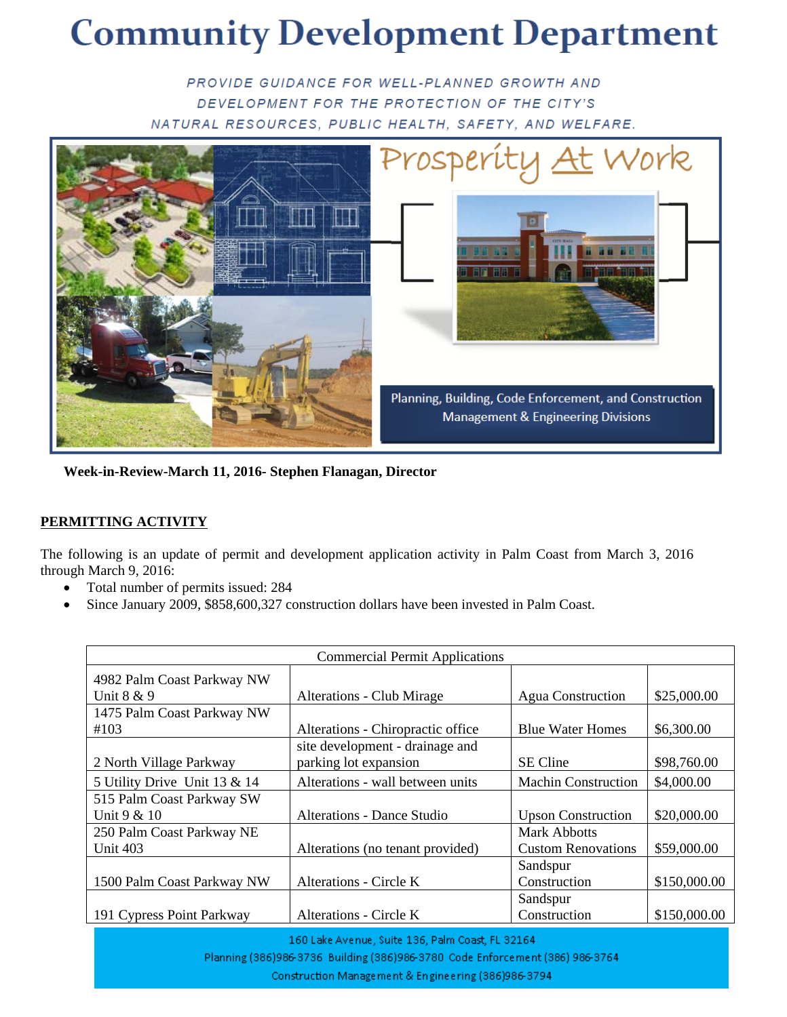## **Community Development Department**

PROVIDE GUIDANCE FOR WELL-PLANNED GROWTH AND DEVELOPMENT FOR THE PROTECTION OF THE CITY'S NATURAL RESOURCES, PUBLIC HEALTH, SAFETY, AND WELFARE.



 **Week-in-Review-March 11, 2016- Stephen Flanagan, Director** 

## **PERMITTING ACTIVITY**

The following is an update of permit and development application activity in Palm Coast from March 3, 2016 through March 9, 2016:

- Total number of permits issued: 284
- Since January 2009, \$858,600,327 construction dollars have been invested in Palm Coast.

| <b>Commercial Permit Applications</b> |                                   |                            |              |  |  |
|---------------------------------------|-----------------------------------|----------------------------|--------------|--|--|
| 4982 Palm Coast Parkway NW            |                                   |                            |              |  |  |
| Unit 8 & 9                            | <b>Alterations - Club Mirage</b>  | <b>Agua Construction</b>   | \$25,000.00  |  |  |
| 1475 Palm Coast Parkway NW            |                                   |                            |              |  |  |
| #103                                  | Alterations - Chiropractic office | <b>Blue Water Homes</b>    | \$6,300.00   |  |  |
|                                       | site development - drainage and   |                            |              |  |  |
| 2 North Village Parkway               | parking lot expansion             | <b>SE</b> Cline            | \$98,760.00  |  |  |
| 5 Utility Drive Unit 13 & 14          | Alterations - wall between units  | <b>Machin Construction</b> | \$4,000.00   |  |  |
| 515 Palm Coast Parkway SW             |                                   |                            |              |  |  |
| Unit 9 & 10                           | Alterations - Dance Studio        | <b>Upson Construction</b>  | \$20,000.00  |  |  |
| 250 Palm Coast Parkway NE             |                                   | Mark Abbotts               |              |  |  |
| Unit 403                              | Alterations (no tenant provided)  | <b>Custom Renovations</b>  | \$59,000.00  |  |  |
|                                       |                                   | Sandspur                   |              |  |  |
| 1500 Palm Coast Parkway NW            | Alterations - Circle K            | Construction               | \$150,000.00 |  |  |
|                                       |                                   | Sandspur                   |              |  |  |
| 191 Cypress Point Parkway             | Alterations - Circle K            | Construction               | \$150,000.00 |  |  |

160 Lake Avenue, Suite 136, Palm Coast, FL 32164

Planning (386)986-3736 Building (386)986-3780 Code Enforcement (386) 986-3764

Construction Management & Engineering (386)986-3794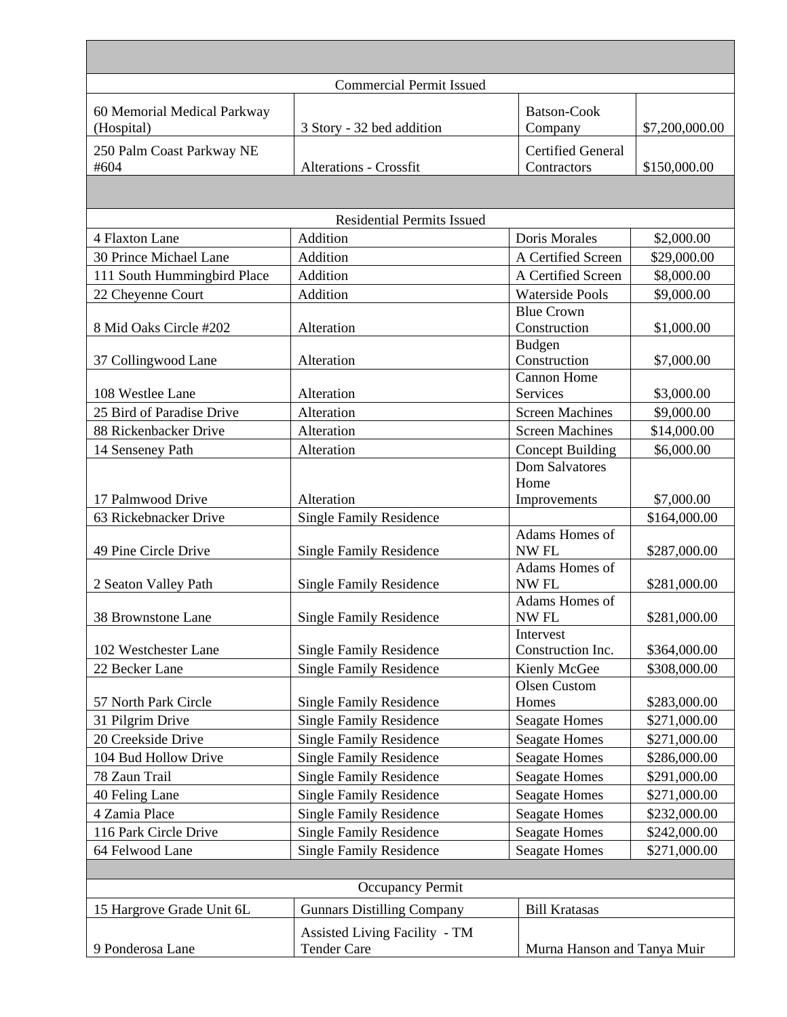|                                           | <b>Commercial Permit Issued</b>                            |                                         |                |  |  |
|-------------------------------------------|------------------------------------------------------------|-----------------------------------------|----------------|--|--|
| 60 Memorial Medical Parkway<br>(Hospital) | 3 Story - 32 bed addition                                  | <b>Batson-Cook</b><br>Company           | \$7,200,000.00 |  |  |
| 250 Palm Coast Parkway NE<br>#604         | <b>Alterations - Crossfit</b>                              | <b>Certified General</b><br>Contractors | \$150,000.00   |  |  |
|                                           |                                                            |                                         |                |  |  |
|                                           | <b>Residential Permits Issued</b>                          |                                         |                |  |  |
| 4 Flaxton Lane                            | Addition                                                   | Doris Morales                           | \$2,000.00     |  |  |
| 30 Prince Michael Lane                    | Addition                                                   | A Certified Screen                      | \$29,000.00    |  |  |
| 111 South Hummingbird Place               | Addition                                                   | A Certified Screen                      | \$8,000.00     |  |  |
| 22 Cheyenne Court                         | Addition                                                   | <b>Waterside Pools</b>                  | \$9,000.00     |  |  |
| 8 Mid Oaks Circle #202                    | Alteration                                                 | <b>Blue Crown</b><br>Construction       | \$1,000.00     |  |  |
|                                           |                                                            | <b>Budgen</b>                           |                |  |  |
| 37 Collingwood Lane                       | Alteration                                                 | Construction<br><b>Cannon Home</b>      | \$7,000.00     |  |  |
| 108 Westlee Lane                          | Alteration                                                 | Services                                | \$3,000.00     |  |  |
| 25 Bird of Paradise Drive                 | Alteration                                                 | <b>Screen Machines</b>                  | \$9,000.00     |  |  |
| 88 Rickenbacker Drive                     | Alteration                                                 | <b>Screen Machines</b>                  | \$14,000.00    |  |  |
| 14 Senseney Path                          | Alteration                                                 | <b>Concept Building</b>                 | \$6,000.00     |  |  |
|                                           |                                                            | <b>Dom Salvatores</b>                   |                |  |  |
|                                           |                                                            | Home                                    |                |  |  |
| 17 Palmwood Drive                         | Alteration                                                 | Improvements                            | \$7,000.00     |  |  |
| 63 Rickebnacker Drive                     | <b>Single Family Residence</b>                             |                                         | \$164,000.00   |  |  |
| 49 Pine Circle Drive                      | <b>Single Family Residence</b>                             | Adams Homes of<br>NW <sub>FL</sub>      | \$287,000.00   |  |  |
| 2 Seaton Valley Path                      | <b>Single Family Residence</b>                             | Adams Homes of<br>NW <sub>FL</sub>      | \$281,000.00   |  |  |
| 38 Brownstone Lane                        | <b>Single Family Residence</b>                             | Adams Homes of<br>NW FL                 | \$281,000.00   |  |  |
| 102 Westchester Lane                      | <b>Single Family Residence</b>                             | Intervest<br>Construction Inc.          | \$364,000.00   |  |  |
| 22 Becker Lane                            | <b>Single Family Residence</b>                             | Kienly McGee                            | \$308,000.00   |  |  |
|                                           |                                                            | Olsen Custom                            |                |  |  |
| 57 North Park Circle                      | <b>Single Family Residence</b>                             | Homes                                   | \$283,000.00   |  |  |
| 31 Pilgrim Drive                          | <b>Single Family Residence</b>                             | <b>Seagate Homes</b>                    | \$271,000.00   |  |  |
| 20 Creekside Drive                        | <b>Single Family Residence</b>                             | <b>Seagate Homes</b>                    | \$271,000.00   |  |  |
| 104 Bud Hollow Drive                      | <b>Single Family Residence</b>                             | <b>Seagate Homes</b>                    | \$286,000.00   |  |  |
| 78 Zaun Trail                             | <b>Single Family Residence</b>                             | <b>Seagate Homes</b>                    | \$291,000.00   |  |  |
| 40 Feling Lane                            | <b>Single Family Residence</b>                             | <b>Seagate Homes</b>                    | \$271,000.00   |  |  |
| 4 Zamia Place                             | <b>Single Family Residence</b>                             | <b>Seagate Homes</b>                    | \$232,000.00   |  |  |
| 116 Park Circle Drive                     | <b>Single Family Residence</b>                             | <b>Seagate Homes</b>                    | \$242,000.00   |  |  |
| 64 Felwood Lane                           | <b>Single Family Residence</b>                             | <b>Seagate Homes</b>                    | \$271,000.00   |  |  |
|                                           |                                                            |                                         |                |  |  |
| Occupancy Permit                          |                                                            |                                         |                |  |  |
| 15 Hargrove Grade Unit 6L                 | <b>Gunnars Distilling Company</b>                          | <b>Bill Kratasas</b>                    |                |  |  |
| 9 Ponderosa Lane                          | <b>Assisted Living Facility - TM</b><br><b>Tender Care</b> | Murna Hanson and Tanya Muir             |                |  |  |
|                                           |                                                            |                                         |                |  |  |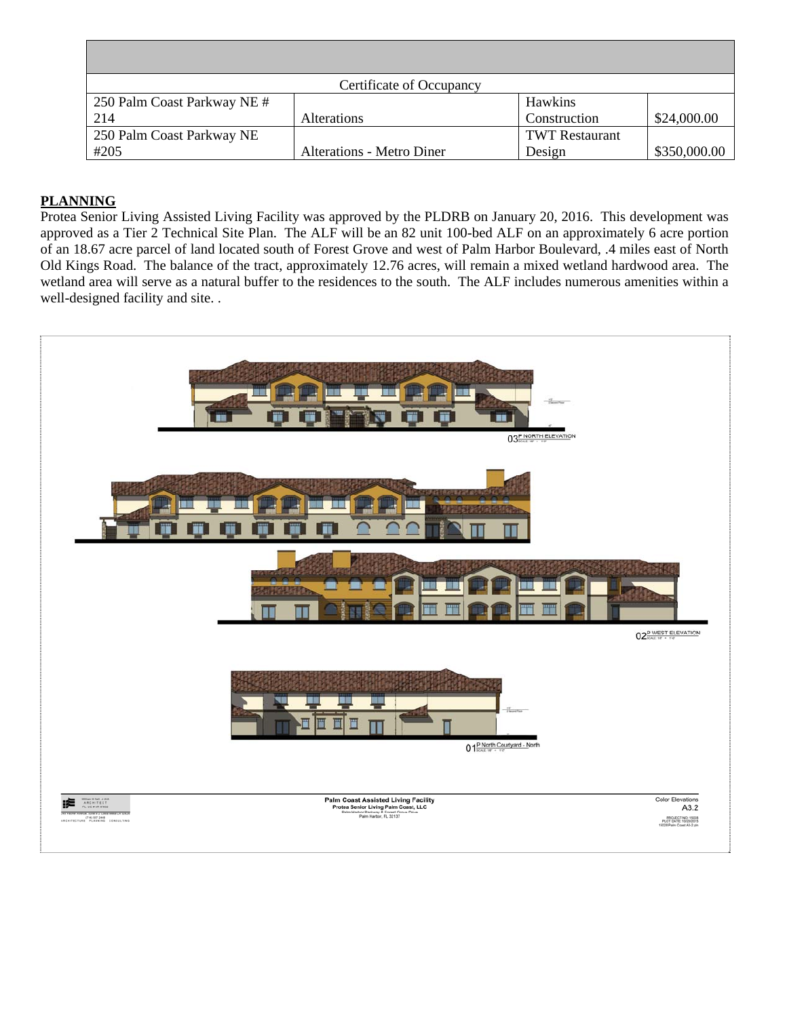| Certificate of Occupancy    |                           |                       |              |  |
|-----------------------------|---------------------------|-----------------------|--------------|--|
| 250 Palm Coast Parkway NE # |                           | Hawkins               |              |  |
| 214                         | <b>Alterations</b>        | Construction          | \$24,000.00  |  |
| 250 Palm Coast Parkway NE   |                           | <b>TWT Restaurant</b> |              |  |
| #205                        | Alterations - Metro Diner | Design                | \$350,000.00 |  |

## **PLANNING**

Protea Senior Living Assisted Living Facility was approved by the PLDRB on January 20, 2016. This development was approved as a Tier 2 Technical Site Plan. The ALF will be an 82 unit 100-bed ALF on an approximately 6 acre portion of an 18.67 acre parcel of land located south of Forest Grove and west of Palm Harbor Boulevard, .4 miles east of North Old Kings Road. The balance of the tract, approximately 12.76 acres, will remain a mixed wetland hardwood area. The wetland area will serve as a natural buffer to the residences to the south. The ALF includes numerous amenities within a well-designed facility and site. .